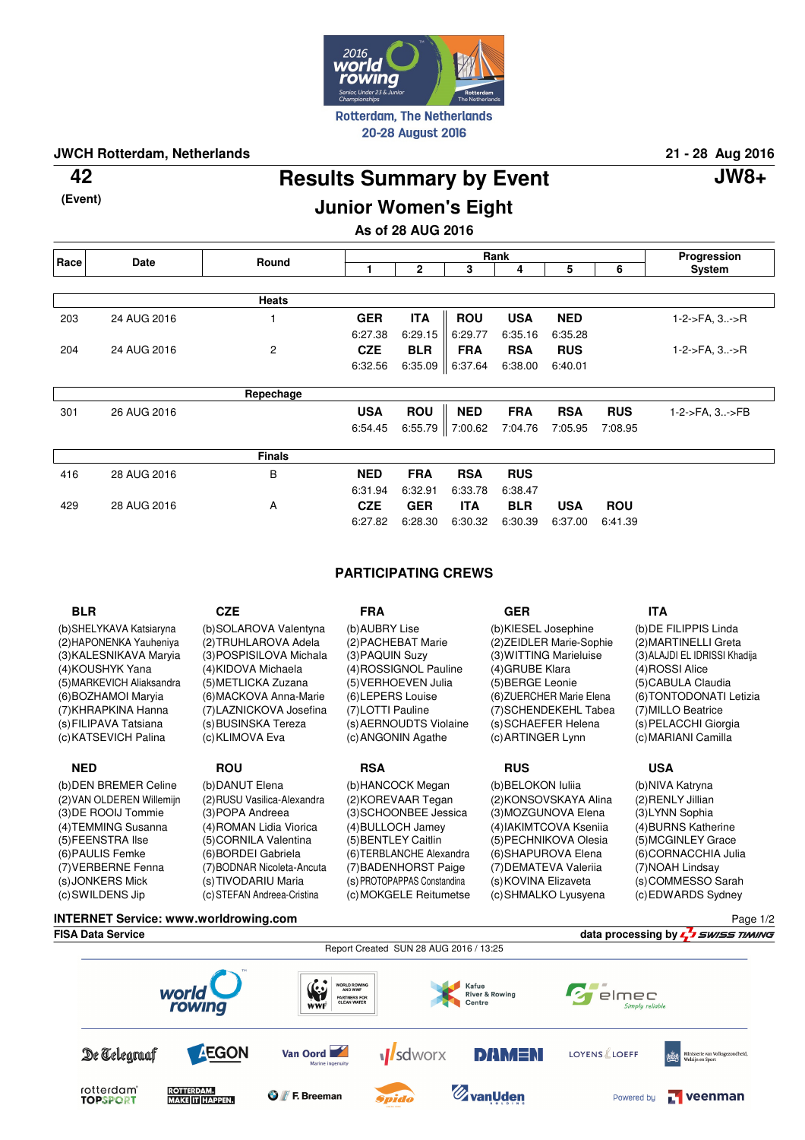

**JWCH Rotterdam, Netherlands 21 - 28 Aug 2016**

**(Event)**

## **Results Summary by Event 42 JW8+**

Page 1/2

## **Junior Women's Eight**

**As of 28 AUG 2016**

| Race | Date        | Round          | Rank       |                   |            |            |            | Progression |                       |
|------|-------------|----------------|------------|-------------------|------------|------------|------------|-------------|-----------------------|
|      |             |                |            | 2                 | 3          | 4          | 5          | 6           | System                |
|      |             |                |            |                   |            |            |            |             |                       |
|      |             | <b>Heats</b>   |            |                   |            |            |            |             |                       |
| 203  | 24 AUG 2016 |                | <b>GER</b> | <b>ITA</b>        | <b>ROU</b> | <b>USA</b> | <b>NED</b> |             | 1-2->FA, 3->R         |
|      |             |                | 6:27.38    | 6:29.15           | 6:29.77    | 6:35.16    | 6:35.28    |             |                       |
| 204  | 24 AUG 2016 | $\overline{c}$ | <b>CZE</b> | <b>BLR</b>        | <b>FRA</b> | <b>RSA</b> | <b>RUS</b> |             | $1-2$ ->FA, $3. -$ >R |
|      |             |                | 6:32.56    | 6:35.09           | 6:37.64    | 6:38.00    | 6:40.01    |             |                       |
|      |             |                |            |                   |            |            |            |             |                       |
|      |             | Repechage      |            |                   |            |            |            |             |                       |
| 301  | 26 AUG 2016 |                | <b>USA</b> | <b>ROU</b>        | <b>NED</b> | <b>FRA</b> | <b>RSA</b> | <b>RUS</b>  | 1-2->FA, 3->FB        |
|      |             |                | 6:54.45    | 6:55.79   7:00.62 |            | 7:04.76    | 7:05.95    | 7:08.95     |                       |
|      |             | <b>Finals</b>  |            |                   |            |            |            |             |                       |
| 416  | 28 AUG 2016 | B              | <b>NED</b> | <b>FRA</b>        | <b>RSA</b> | <b>RUS</b> |            |             |                       |
|      |             |                | 6:31.94    | 6:32.91           | 6:33.78    | 6:38.47    |            |             |                       |
| 429  | 28 AUG 2016 | A              | <b>CZE</b> | <b>GER</b>        | <b>ITA</b> | <b>BLR</b> | <b>USA</b> | <b>ROU</b>  |                       |
|      |             |                | 6:27.82    | 6:28.30           | 6:30.32    | 6:30.39    | 6:37.00    | 6:41.39     |                       |

## **PARTICIPATING CREWS**

| <b>BLR</b>                | <b>CZE</b>                  | <b>FRA</b>                  | <b>GER</b>               | <b>ITA</b>                    |
|---------------------------|-----------------------------|-----------------------------|--------------------------|-------------------------------|
| (b) SHELYKAVA Katsiaryna  | (b)SOLAROVA Valentyna       | (b) AUBRY Lise              | (b)KIESEL Josephine      | (b) DE FILIPPIS Linda         |
| (2) HAPONENKA Yauheniya   | (2) TRUHLAROVA Adela        | (2) PACHEBAT Marie          | (2) ZEIDLER Marie-Sophie | (2) MARTINELLI Greta          |
| (3) KALESNIKAVA Maryia    | (3) POSPISILOVA Michala     | (3) PAQUIN Suzy             | (3) WITTING Marieluise   | (3) ALAJDI EL IDRISSI Khadija |
| (4) KOUSHYK Yana          | (4)KIDOVA Michaela          | (4) ROSSIGNOL Pauline       | (4) GRUBE Klara          | (4) ROSSI Alice               |
| (5) MARKEVICH Aliaksandra | (5) METLICKA Zuzana         | (5) VERHOEVEN Julia         | (5) BERGE Leonie         | (5) CABULA Claudia            |
| (6) BOZHAMOI Maryia       | (6) MACKOVA Anna-Marie      | (6) LEPERS Louise           | (6) ZUERCHER Marie Elena | (6) TONTODONATI Letizia       |
| (7) KHRAPKINA Hanna       | (7) LAZNICKOVA Josefina     | (7)LOTTI Pauline            | (7) SCHENDEKEHL Tabea    | (7) MILLO Beatrice            |
| (s) FILIPAVA Tatsiana     | (s) BUSINSKA Tereza         | (s) AERNOUDTS Violaine      | (s) SCHAEFER Helena      | (s) PELACCHI Giorgia          |
| (c) KATSEVICH Palina      | (c) KLIMOVA Eva             | (c) ANGONIN Agathe          | (c) ARTINGER Lynn        | (c) MARIANI Camilla           |
| <b>NED</b>                | <b>ROU</b>                  | <b>RSA</b>                  | <b>RUS</b>               | USA                           |
| (b) DEN BREMER Celine     | (b) DANUT Elena             | (b) HANCOCK Megan           | (b) BELOKON Iuliia       | (b)NIVA Katryna               |
| (2) VAN OLDEREN Willemijn | (2) RUSU Vasilica-Alexandra | (2) KOREVAAR Tegan          | (2)KONSOVSKAYA Alina     | (2) RENLY Jillian             |
| (3) DE ROOIJ Tommie       | (3) POPA Andreea            | (3) SCHOONBEE Jessica       | (3) MOZGUNOVA Elena      | (3)LYNN Sophia                |
| (4) TEMMING Susanna       | (4) ROMAN Lidia Viorica     | (4) BULLOCH Jamey           | (4) IAKIMTCOVA Ksenija   | (4) BURNS Katherine           |
| (5) FEENSTRA Ilse         | (5) CORNILA Valentina       | (5) BENTLEY Caitlin         | (5) PECHNIKOVA Olesia    | (5) MCGINLEY Grace            |
| (6) PAULIS Femke          | (6) BORDEI Gabriela         | (6) TERBLANCHE Alexandra    | (6) SHAPUROVA Elena      | (6)CORNACCHIA Julia           |
| (7) VERBERNE Fenna        | (7) BODNAR Nicoleta-Ancuta  | (7) BADENHORST Paige        | (7) DEMATEVA Valeriia    | (7) NOAH Lindsay              |
| (s) JONKERS Mick          | (s) TIVODARIU Maria         | (s) PROTOPAPPAS Constandina | (s) KOVINA Elizaveta     | (s)COMMESSO Sarah             |
| (c) SWILDENS Jip          | (c) STEFAN Andreea-Cristina | (c)MOKGELE Reitumetse       | (c) SHMALKO Lyusyena     | (c) EDWARDS Sydney            |

**INTERNET Service: www.worldrowing.com**